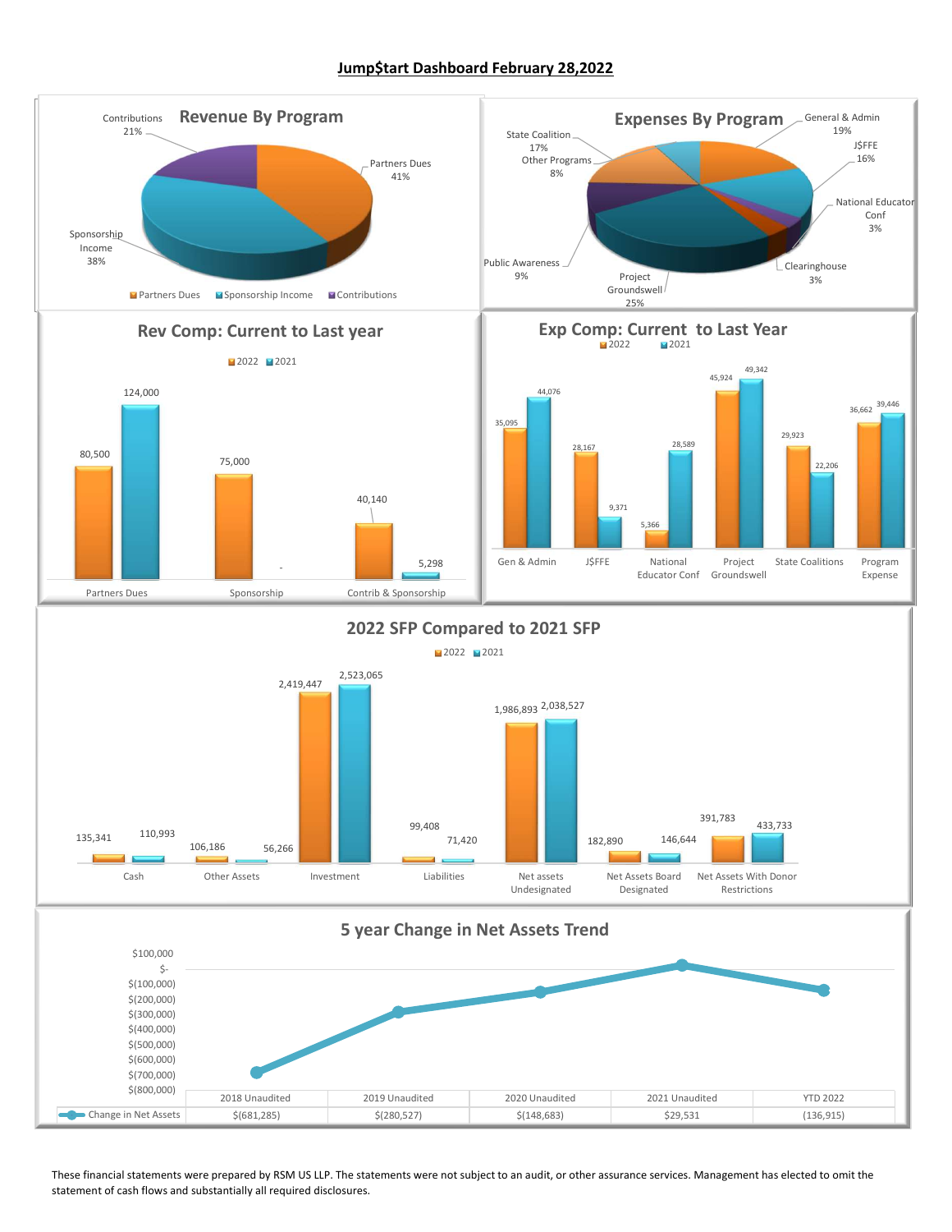#### Jump\$tart Dashboard February 28,2022

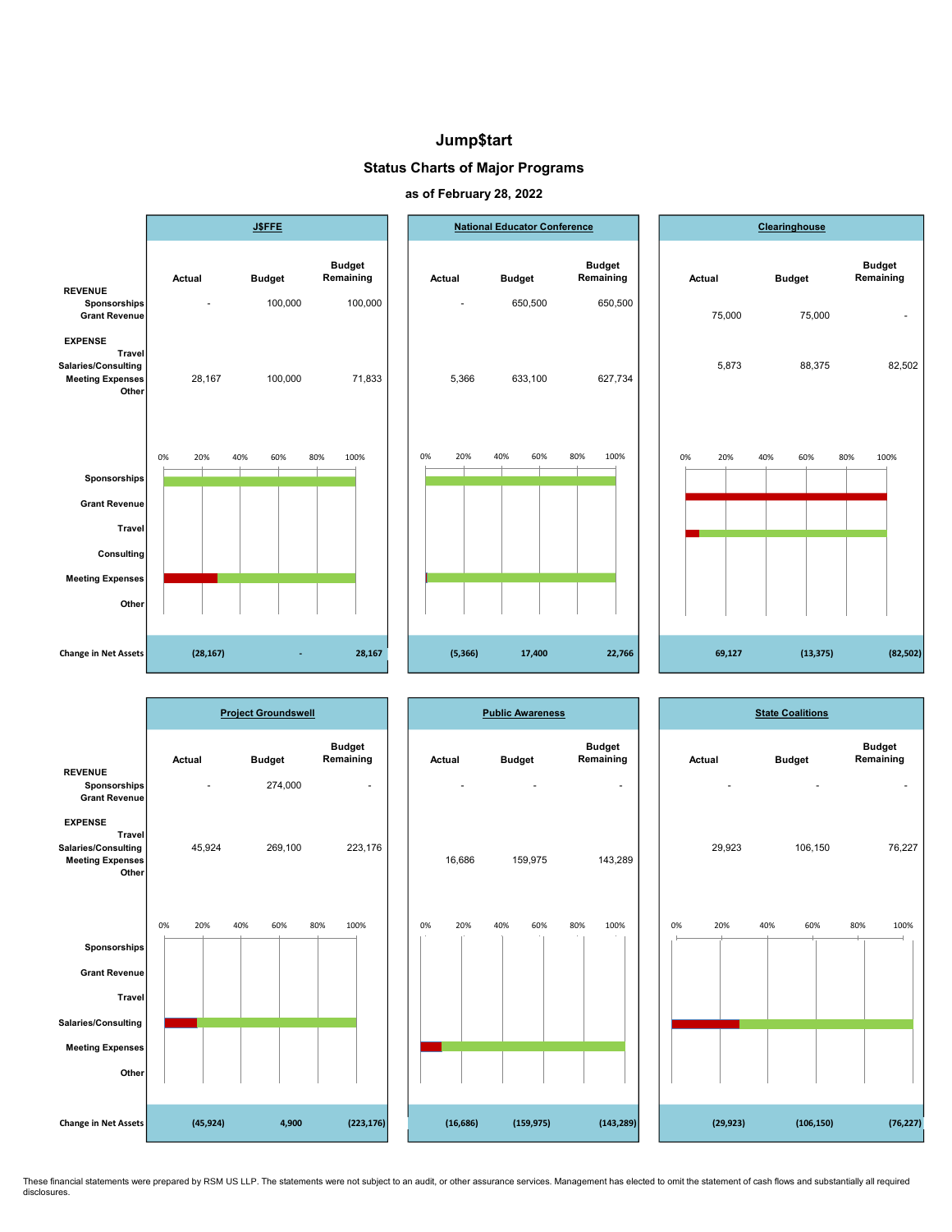#### Jump\$tart

Status Charts of Major Programs





|                                                                                                                  |                  | <b>Project Groundswell</b> |                                      |        |           | <b>Public Awareness</b> |     |                                      |        |           |     | <b>State Coalitions</b> |                            |                          |
|------------------------------------------------------------------------------------------------------------------|------------------|----------------------------|--------------------------------------|--------|-----------|-------------------------|-----|--------------------------------------|--------|-----------|-----|-------------------------|----------------------------|--------------------------|
| <b>REVENUE</b><br>Sponsorships<br>Grant Revenue                                                                  | Actual<br>$\sim$ | <b>Budget</b><br>274,000   | <b>Budget</b><br>Remaining<br>$\sim$ | Actual | ٠         | <b>Budget</b><br>$\sim$ |     | <b>Budget</b><br>Remaining<br>$\sim$ | Actual | ٠         |     | <b>Budget</b><br>$\sim$ | <b>Budget</b><br>Remaining | $\overline{\phantom{a}}$ |
| <b>EXPENSE</b><br><b>Travel</b><br>Salaries/Consulting<br><b>Meeting Expenses</b><br>Other                       | 45,924           | 269,100                    | 223,176                              |        | 16,686    | 159,975                 |     | 143,289                              |        | 29,923    |     | 106,150                 |                            | 76,227                   |
| Sponsorships<br><b>Grant Revenue</b><br><b>Travel</b><br>Salaries/Consulting<br><b>Meeting Expenses</b><br>Other | 0%<br>20%        | 40%<br>60%                 | 80%<br>100%                          | 0%     | 20%       | 40%<br>60%              | 80% | 100%                                 | 0%     | 20%       | 40% | 60%                     | 80%                        | 100%                     |
| Change in Net Assets                                                                                             | (45, 924)        | 4,900                      | (223, 176)                           |        | (16, 686) | (159, 975)              |     | (143, 289)                           |        | (29, 923) |     | (106, 150)              |                            | (76, 227)                |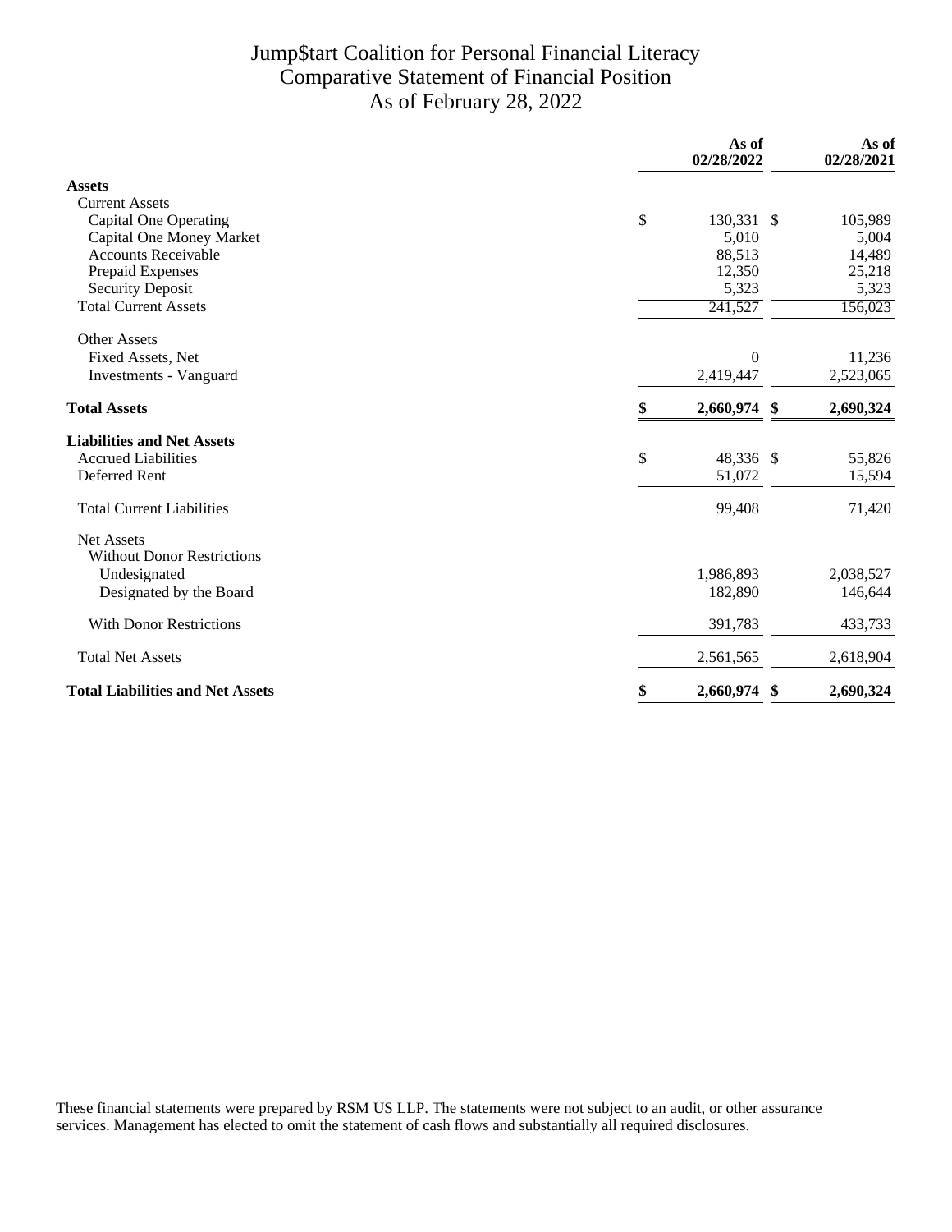## Jump\$tart Coalition for Personal Financial Literacy Comparative Statement of Financial Position As of February 28, 2022

|                                               | As of<br>02/28/2022 | As of<br>02/28/2021 |
|-----------------------------------------------|---------------------|---------------------|
| <b>Assets</b>                                 |                     |                     |
| <b>Current Assets</b>                         |                     |                     |
| \$<br><b>Capital One Operating</b>            | 130,331 \$          | 105,989             |
| Capital One Money Market                      | 5,010               | 5,004               |
| <b>Accounts Receivable</b>                    | 88,513              | 14,489              |
| Prepaid Expenses                              | 12,350              | 25,218              |
| <b>Security Deposit</b>                       | 5,323               | 5,323               |
| <b>Total Current Assets</b>                   | 241,527             | 156,023             |
| <b>Other Assets</b>                           |                     |                     |
| Fixed Assets, Net                             | $\theta$            | 11,236              |
| Investments - Vanguard                        | 2,419,447           | 2,523,065           |
| \$<br><b>Total Assets</b>                     | 2,660,974 \$        | 2,690,324           |
| <b>Liabilities and Net Assets</b>             |                     |                     |
| \$<br><b>Accrued Liabilities</b>              | 48,336 \$           | 55,826              |
| Deferred Rent                                 | 51,072              | 15,594              |
| <b>Total Current Liabilities</b>              | 99,408              | 71,420              |
| <b>Net Assets</b>                             |                     |                     |
| <b>Without Donor Restrictions</b>             |                     |                     |
| Undesignated                                  | 1,986,893           | 2,038,527           |
| Designated by the Board                       | 182,890             | 146,644             |
| <b>With Donor Restrictions</b>                | 391,783             | 433,733             |
| <b>Total Net Assets</b>                       | 2,561,565           | 2,618,904           |
| <b>Total Liabilities and Net Assets</b><br>\$ | 2,660,974<br>- \$   | 2,690,324           |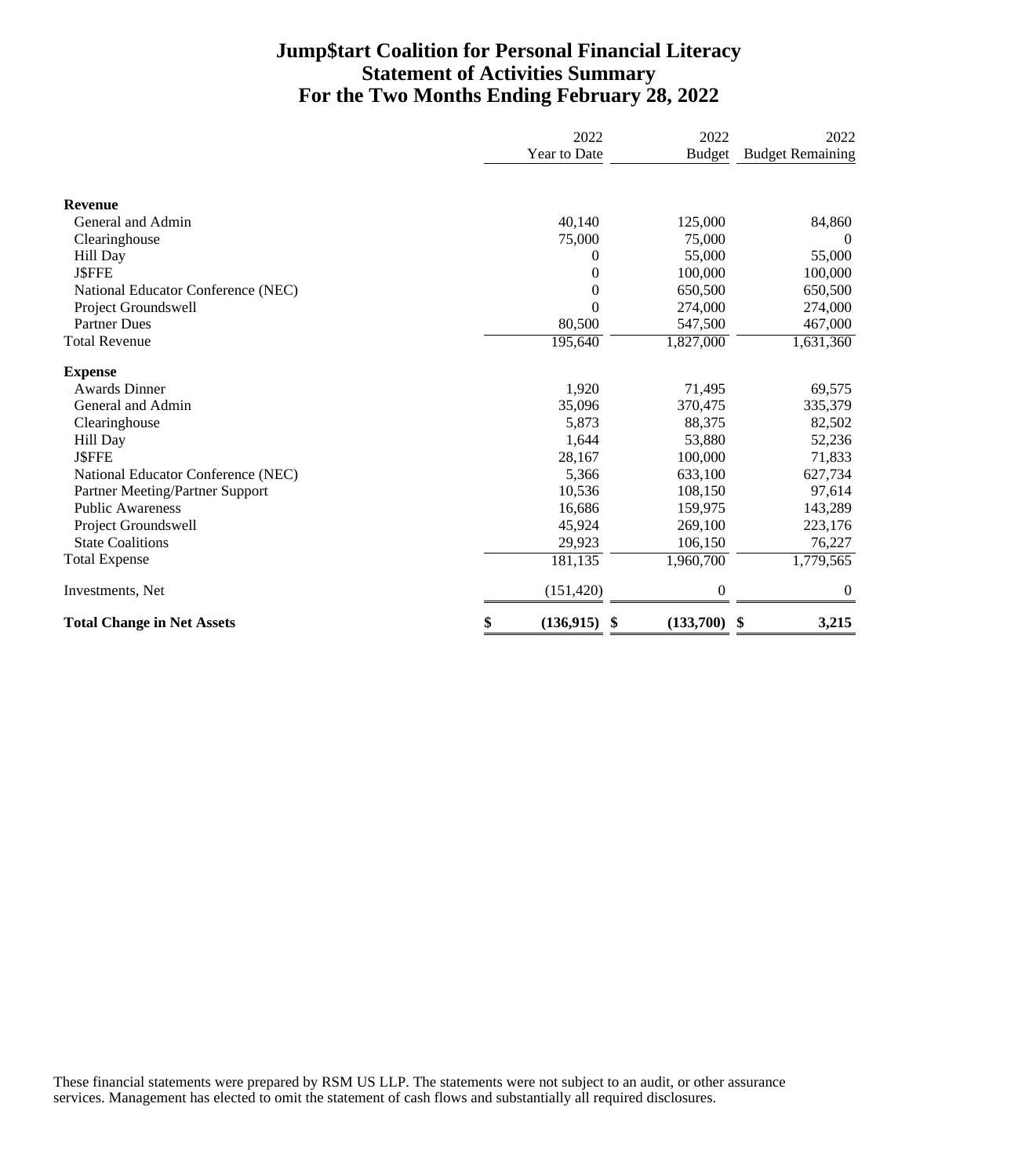### **Jump\$tart Coalition for Personal Financial Literacy Statement of Activities Summary For the Two Months Ending February 28, 2022**

|                                    | 2022             | 2022             | 2022                    |
|------------------------------------|------------------|------------------|-------------------------|
|                                    | Year to Date     | <b>Budget</b>    | <b>Budget Remaining</b> |
| <b>Revenue</b>                     |                  |                  |                         |
| General and Admin                  | 40,140           | 125,000          | 84,860                  |
| Clearinghouse                      | 75,000           | 75,000           | $\overline{0}$          |
| Hill Day                           | 0                | 55,000           | 55,000                  |
| <b>J\$FFE</b>                      | 0                | 100,000          | 100,000                 |
| National Educator Conference (NEC) | $\overline{0}$   | 650,500          | 650,500                 |
| Project Groundswell                | 0                | 274,000          | 274,000                 |
| <b>Partner Dues</b>                | 80,500           | 547,500          | 467,000                 |
| <b>Total Revenue</b>               | 195,640          | 1,827,000        | 1,631,360               |
| <b>Expense</b>                     |                  |                  |                         |
| <b>Awards Dinner</b>               | 1,920            | 71,495           | 69,575                  |
| General and Admin                  | 35,096           | 370,475          | 335,379                 |
| Clearinghouse                      | 5,873            | 88,375           | 82,502                  |
| Hill Day                           | 1.644            | 53,880           | 52,236                  |
| <b>JSFFE</b>                       | 28,167           | 100,000          | 71,833                  |
| National Educator Conference (NEC) | 5,366            | 633,100          | 627,734                 |
| Partner Meeting/Partner Support    | 10,536           | 108,150          | 97,614                  |
| <b>Public Awareness</b>            | 16,686           | 159,975          | 143,289                 |
| Project Groundswell                | 45,924           | 269,100          | 223,176                 |
| <b>State Coalitions</b>            | 29,923           | 106,150          | 76,227                  |
| <b>Total Expense</b>               | 181,135          | 1,960,700        | 1,779,565               |
| Investments, Net                   | (151, 420)       | $\boldsymbol{0}$ | $\overline{0}$          |
| <b>Total Change in Net Assets</b>  | \$<br>(136, 915) | (133,700)<br>\$  | \$<br>3,215             |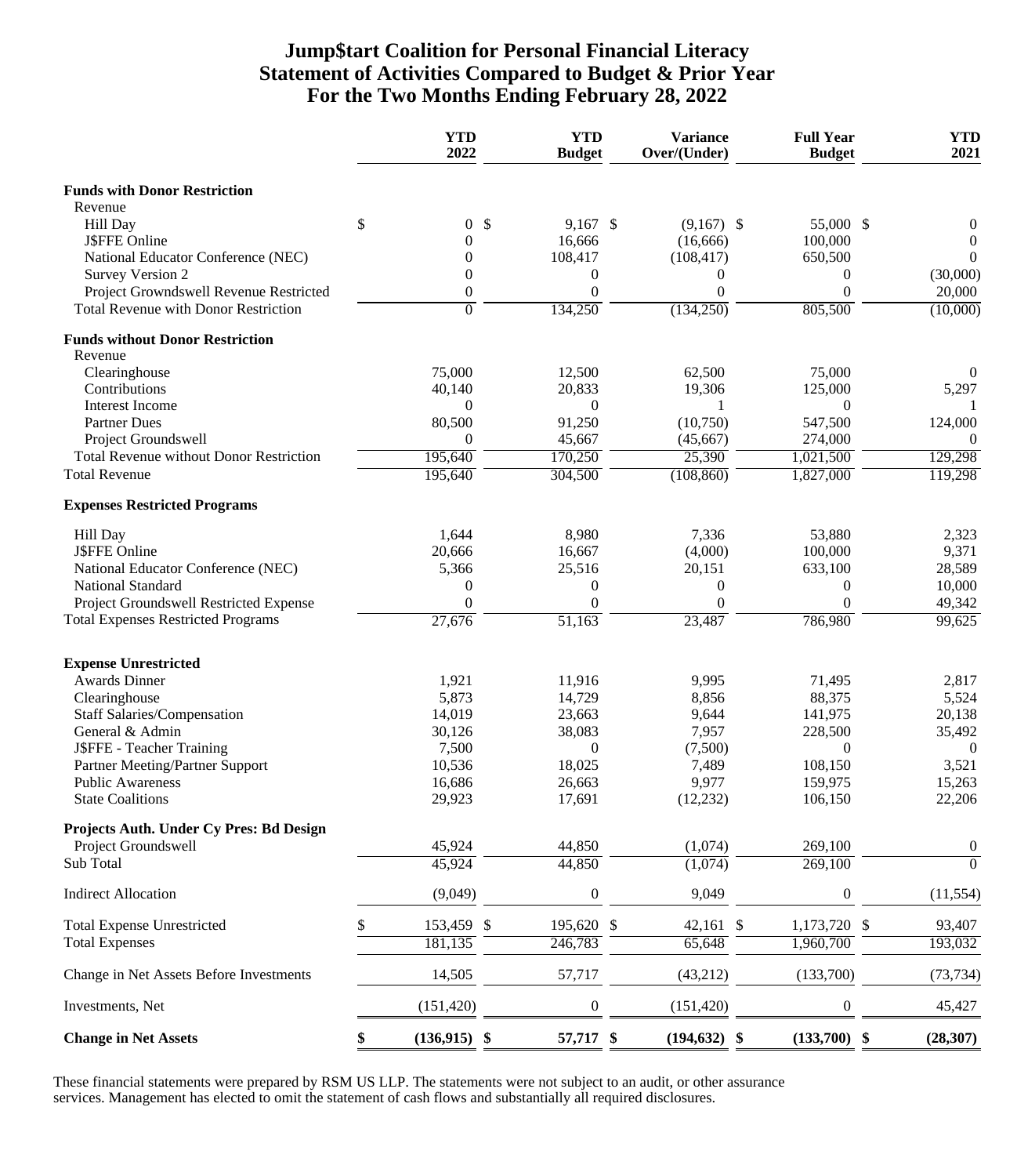### **Jump\$tart Coalition for Personal Financial Literacy Statement of Activities Compared to Budget & Prior Year For the Two Months Ending February 28, 2022**

|                                                                   |    | <b>YTD</b><br>2022           |            | <b>YTD</b><br><b>Budget</b> | <b>Variance</b><br>Over/(Under) | <b>Full Year</b><br><b>Budget</b> | <b>YTD</b><br>2021 |
|-------------------------------------------------------------------|----|------------------------------|------------|-----------------------------|---------------------------------|-----------------------------------|--------------------|
| <b>Funds with Donor Restriction</b>                               |    |                              |            |                             |                                 |                                   |                    |
| Revenue                                                           |    |                              |            |                             |                                 |                                   |                    |
| Hill Day                                                          | \$ | $\overline{0}$               | $\sqrt{3}$ | $9,167$ \$                  | $(9,167)$ \$                    | 55,000 \$                         | $\theta$           |
| J\$FFE Online                                                     |    | $\overline{0}$               |            | 16,666                      | (16, 666)                       | 100,000                           | $\Omega$           |
| National Educator Conference (NEC)                                |    | $\theta$                     |            | 108,417                     | (108, 417)                      | 650,500                           |                    |
| <b>Survey Version 2</b><br>Project Growndswell Revenue Restricted |    | $\Omega$<br>$\boldsymbol{0}$ |            | 0<br>$\theta$               | $\theta$<br>$\Omega$            | $\Omega$<br>$\Omega$              | (30,000)<br>20,000 |
| <b>Total Revenue with Donor Restriction</b>                       |    | $\overline{0}$               |            | 134,250                     | (134,250)                       | 805,500                           | (10,000)           |
| <b>Funds without Donor Restriction</b>                            |    |                              |            |                             |                                 |                                   |                    |
| Revenue                                                           |    |                              |            |                             |                                 |                                   |                    |
| Clearinghouse                                                     |    | 75,000                       |            | 12,500                      | 62,500                          | 75,000                            |                    |
| Contributions                                                     |    | 40,140                       |            | 20,833                      | 19,306                          | 125,000                           | 5,297              |
| Interest Income                                                   |    | $\overline{0}$               |            | $\boldsymbol{0}$            |                                 | $\theta$                          |                    |
| <b>Partner Dues</b>                                               |    | 80,500                       |            | 91,250                      | (10,750)                        | 547,500                           | 124,000            |
| Project Groundswell                                               |    | $\Omega$                     |            | 45,667                      | (45, 667)                       | 274,000                           | $\Omega$           |
| <b>Total Revenue without Donor Restriction</b>                    |    | 195,640                      |            | 170,250                     | 25,390                          | 1,021,500                         | 129,298            |
| <b>Total Revenue</b>                                              |    | 195,640                      |            | 304,500                     | (108, 860)                      | 1,827,000                         | 119,298            |
| <b>Expenses Restricted Programs</b>                               |    |                              |            |                             |                                 |                                   |                    |
| Hill Day                                                          |    | 1,644                        |            | 8,980                       | 7,336                           | 53,880                            | 2,323              |
| <b>J\$FFE Online</b>                                              |    | 20,666                       |            | 16,667                      | (4,000)                         | 100,000                           | 9,371              |
| National Educator Conference (NEC)                                |    | 5,366                        |            | 25,516                      | 20,151                          | 633,100                           | 28,589             |
| National Standard                                                 |    | 0                            |            | $\boldsymbol{0}$            | $\boldsymbol{0}$                | $\theta$                          | 10,000             |
| Project Groundswell Restricted Expense                            |    | $\overline{0}$               |            | $\boldsymbol{0}$            | $\mathbf{0}$                    | $\theta$                          | 49,342             |
| <b>Total Expenses Restricted Programs</b>                         |    | 27,676                       |            | 51,163                      | 23,487                          | 786,980                           | 99,625             |
| <b>Expense Unrestricted</b>                                       |    |                              |            |                             |                                 |                                   |                    |
| <b>Awards Dinner</b>                                              |    | 1,921                        |            | 11,916                      | 9,995                           | 71,495                            | 2,817              |
| Clearinghouse                                                     |    | 5,873                        |            | 14,729                      | 8,856                           | 88,375                            | 5,524              |
| <b>Staff Salaries/Compensation</b>                                |    | 14,019                       |            | 23,663                      | 9,644                           | 141,975                           | 20,138             |
| General & Admin                                                   |    | 30,126                       |            | 38,083                      | 7,957                           | 228,500                           | 35,492             |
| J\$FFE - Teacher Training                                         |    | 7,500                        |            | $\boldsymbol{0}$            | (7,500)                         | $\theta$                          | $\overline{0}$     |
| Partner Meeting/Partner Support                                   |    | 10,536                       |            | 18,025                      | 7,489                           | 108,150                           | 3,521              |
| <b>Public Awareness</b>                                           |    | 16,686                       |            | 26,663                      | 9,977                           | 159,975                           | 15,263             |
| <b>State Coalitions</b>                                           |    | 29,923                       |            | 17,691                      | (12,232)                        | 106,150                           | 22,206             |
| Projects Auth. Under Cy Pres: Bd Design                           |    |                              |            |                             |                                 |                                   |                    |
| Project Groundswell                                               |    | 45,924                       |            | 44,850                      | (1,074)                         | 269,100                           | $\boldsymbol{0}$   |
| Sub Total                                                         |    | 45,924                       |            | 44,850                      | (1,074)                         | 269,100                           | $\overline{0}$     |
| <b>Indirect Allocation</b>                                        |    | (9,049)                      |            | $\boldsymbol{0}$            | 9,049                           | $\boldsymbol{0}$                  | (11, 554)          |
| <b>Total Expense Unrestricted</b>                                 | S. | 153,459 \$                   |            | 195,620 \$                  | 42,161                          | \$<br>1,173,720 \$                | 93,407             |
| <b>Total Expenses</b>                                             |    | 181,135                      |            | 246,783                     | 65,648                          | 1,960,700                         | 193,032            |
| Change in Net Assets Before Investments                           |    | 14,505                       |            | 57,717                      | (43,212)                        | (133,700)                         | (73, 734)          |
| Investments, Net                                                  |    | (151, 420)                   |            | $\boldsymbol{0}$            | (151, 420)                      | 0                                 | 45,427             |
| <b>Change in Net Assets</b>                                       | \$ | $(136,915)$ \$               |            | 57,717 \$                   | $(194, 632)$ \$                 | $(133,700)$ \$                    | (28, 307)          |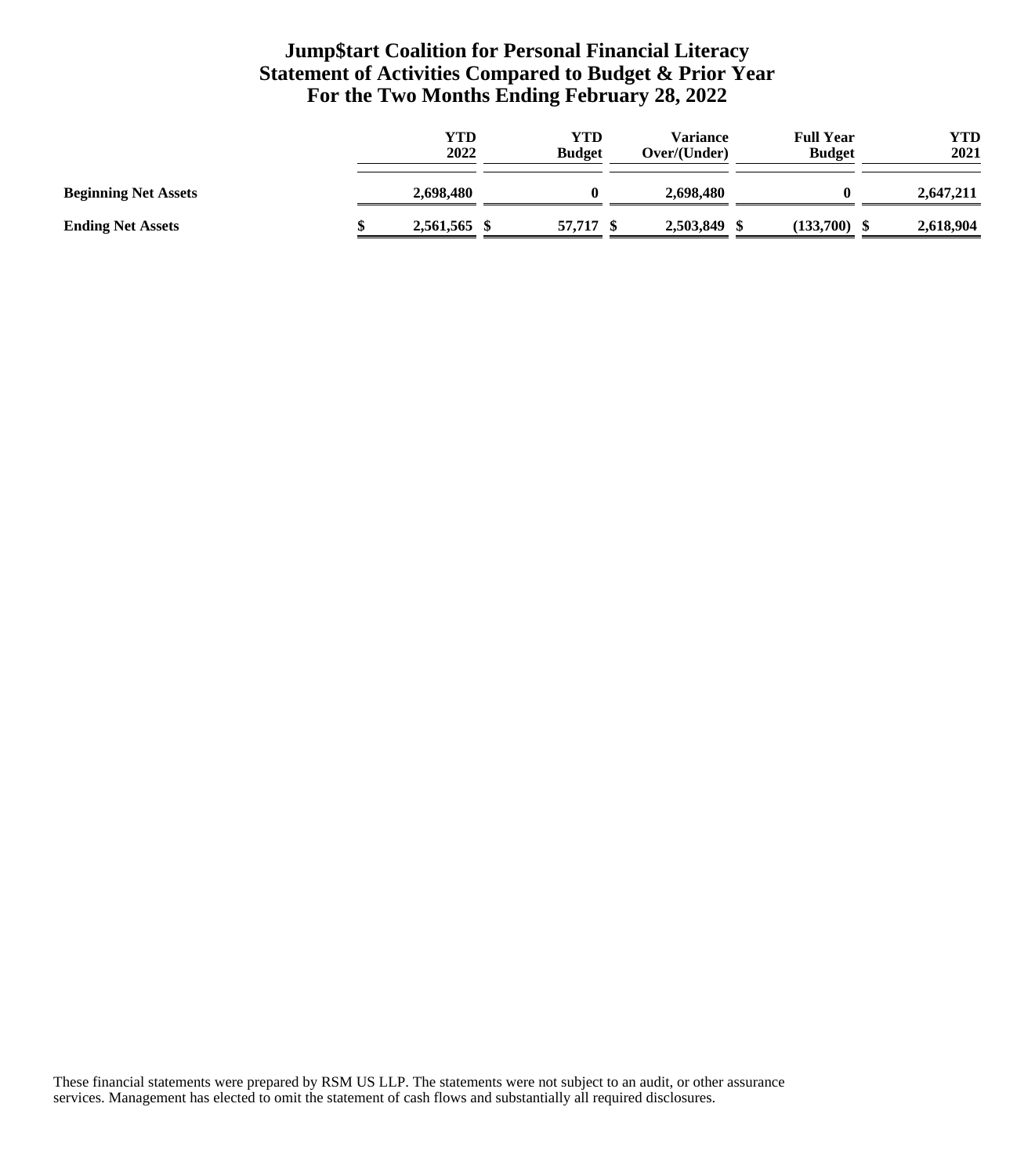## **Jump\$tart Coalition for Personal Financial Literacy Statement of Activities Compared to Budget & Prior Year For the Two Months Ending February 28, 2022**

|                             | YTD<br>2022  | YTD<br><b>Budget</b> | Variance<br>Over/(Under) | <b>Full Year</b><br><b>Budget</b> | YTD<br>2021 |
|-----------------------------|--------------|----------------------|--------------------------|-----------------------------------|-------------|
| <b>Beginning Net Assets</b> | 2,698,480    |                      | 2.698.480                |                                   | 2,647,211   |
| <b>Ending Net Assets</b>    | 2,561,565 \$ | 57,717               | 2,503,849                | (133,700)                         | 2,618,904   |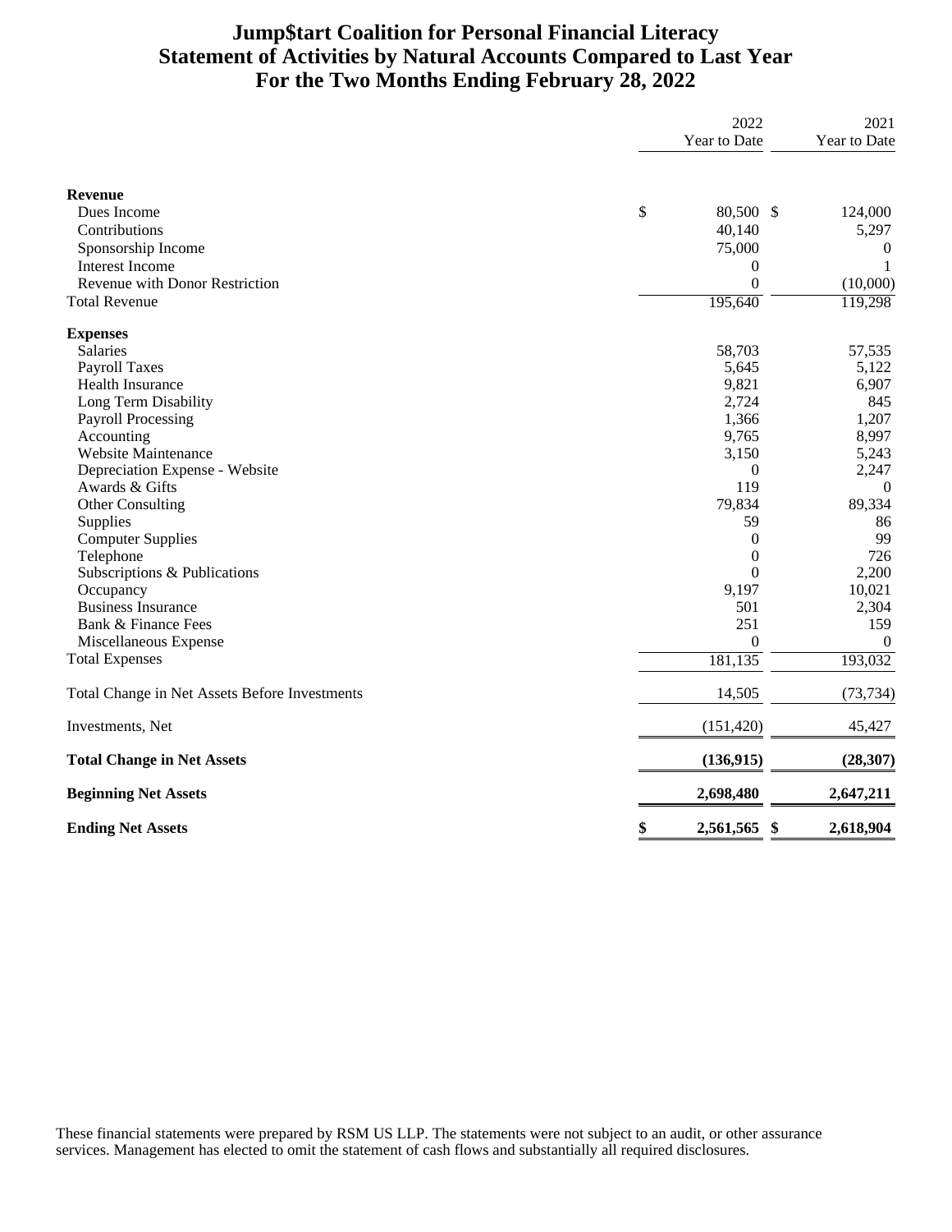# **Jump\$tart Coalition for Personal Financial Literacy Statement of Activities by Natural Accounts Compared to Last Year For the Two Months Ending February 28, 2022**

|                                               | 2022<br>Year to Date  | 2021<br>Year to Date |
|-----------------------------------------------|-----------------------|----------------------|
| <b>Revenue</b>                                |                       |                      |
| Dues Income                                   | \$<br>80,500 \$       | 124,000              |
| Contributions                                 | 40,140                | 5,297                |
| Sponsorship Income                            | 75,000                | $\boldsymbol{0}$     |
| <b>Interest Income</b>                        | $\overline{0}$        | 1                    |
| Revenue with Donor Restriction                | $\boldsymbol{0}$      | (10,000)             |
| <b>Total Revenue</b>                          | 195,640               | 119,298              |
| <b>Expenses</b>                               |                       |                      |
| <b>Salaries</b>                               | 58,703                | 57,535               |
| <b>Payroll Taxes</b>                          | 5,645                 | 5,122                |
| Health Insurance                              | 9,821                 | 6,907                |
| Long Term Disability                          | 2,724                 | 845                  |
| <b>Payroll Processing</b>                     | 1,366                 | 1,207                |
| Accounting                                    | 9,765                 | 8,997                |
| Website Maintenance                           | 3,150                 | 5,243                |
| Depreciation Expense - Website                | $\overline{0}$        | 2,247                |
| Awards & Gifts                                | 119                   | $\theta$             |
| Other Consulting                              | 79,834                | 89,334               |
| Supplies                                      | 59                    | 86                   |
| <b>Computer Supplies</b>                      | $\overline{0}$        | 99                   |
| Telephone                                     | $\overline{0}$        | 726                  |
| Subscriptions & Publications                  | $\theta$              | 2,200                |
| Occupancy                                     | 9,197                 | 10,021               |
| <b>Business Insurance</b>                     | 501                   | 2,304                |
| Bank & Finance Fees                           | 251                   | 159                  |
| Miscellaneous Expense                         | $\mathbf{0}$          | $\theta$             |
| <b>Total Expenses</b>                         | 181,135               | 193,032              |
| Total Change in Net Assets Before Investments | 14,505                | (73, 734)            |
| Investments, Net                              | (151, 420)            | 45,427               |
| <b>Total Change in Net Assets</b>             | (136, 915)            | (28, 307)            |
| <b>Beginning Net Assets</b>                   | 2,698,480             | 2,647,211            |
| <b>Ending Net Assets</b>                      | \$<br>2,561,565<br>\$ | 2,618,904            |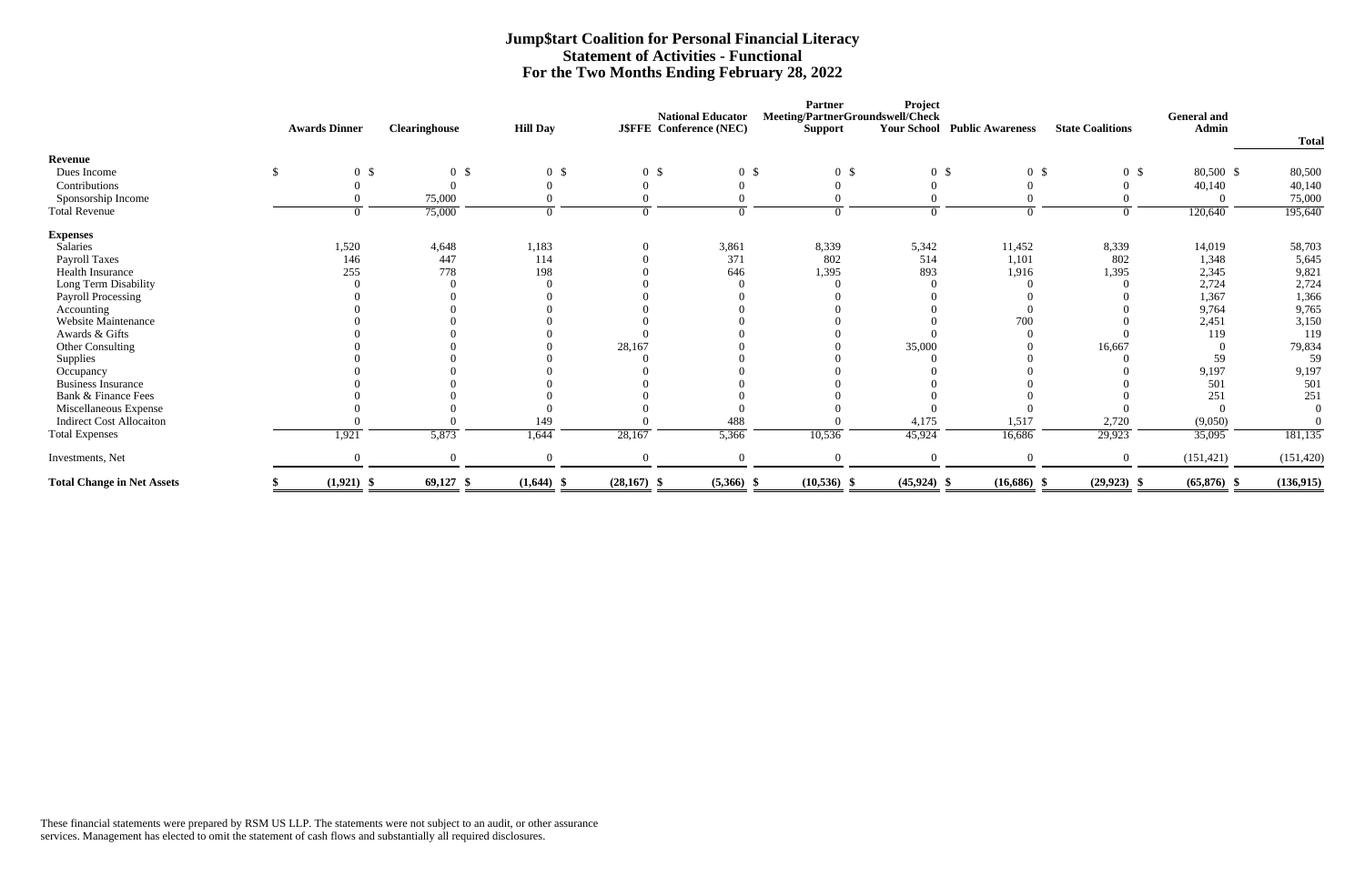|                                   |                      |                      |                 |                                |                          | <b>Partner</b>                   | <b>Project</b>  |                                     |                         |                             |              |
|-----------------------------------|----------------------|----------------------|-----------------|--------------------------------|--------------------------|----------------------------------|-----------------|-------------------------------------|-------------------------|-----------------------------|--------------|
|                                   |                      |                      |                 |                                | <b>National Educator</b> | Meeting/PartnerGroundswell/Check |                 |                                     | <b>State Coalitions</b> | <b>General</b> and<br>Admin |              |
|                                   | <b>Awards Dinner</b> | <b>Clearinghouse</b> | <b>Hill Day</b> | <b>J\$FFE</b> Conference (NEC) |                          | <b>Support</b>                   |                 | <b>Your School Public Awareness</b> |                         |                             | <b>Total</b> |
| Revenue                           |                      |                      |                 |                                |                          |                                  |                 |                                     |                         |                             |              |
| Dues Income                       | \$<br>0 <sup>5</sup> | 0 <sup>5</sup>       | 0 <sup>5</sup>  | 0 <sup>5</sup>                 | 0 <sup>5</sup>           | 0 <sup>5</sup>                   | $0 \text{ }$ \$ | 0 <sup>5</sup>                      | 0 <sup>5</sup>          | 80,500 \$                   | 80,500       |
| Contributions                     |                      |                      |                 |                                |                          |                                  |                 |                                     |                         | 40,140                      | 40,140       |
| Sponsorship Income                |                      | 75,000               |                 |                                |                          |                                  |                 |                                     |                         |                             | 75,000       |
| <b>Total Revenue</b>              |                      | 75,000               |                 |                                |                          |                                  |                 | $\Omega$                            |                         | 120,640                     | 195,640      |
| <b>Expenses</b>                   |                      |                      |                 |                                |                          |                                  |                 |                                     |                         |                             |              |
| Salaries                          | 1,520                | 4,648                | 1,183           |                                | 3,861                    | 8,339                            | 5,342           | 11,452                              | 8,339                   | 14,019                      | 58,703       |
| Payroll Taxes                     | 146                  | 447                  | 114             |                                | 371                      | 802                              | 514             | 1,101                               | 802                     | 1,348                       | 5,645        |
| Health Insurance                  | 255                  | 778                  | 198             |                                | 646                      | 1,395                            | 893             | 1,916                               | 1,395                   | 2,345                       | 9,821        |
| Long Term Disability              |                      |                      |                 |                                |                          |                                  |                 |                                     |                         | 2,724                       | 2,724        |
| <b>Payroll Processing</b>         |                      |                      |                 |                                |                          |                                  |                 |                                     |                         | 1,367                       | 1,366        |
| Accounting                        |                      |                      |                 |                                |                          |                                  |                 |                                     |                         | 9,764                       | 9,765        |
| Website Maintenance               |                      |                      |                 |                                |                          |                                  |                 | 700                                 |                         | 2,451                       | 3,150        |
| Awards & Gifts                    |                      |                      |                 |                                |                          |                                  |                 |                                     |                         | 119                         | 119          |
| Other Consulting                  |                      |                      |                 | 28,167                         |                          |                                  | 35,000          |                                     | 16,667                  |                             | 79,834       |
| Supplies                          |                      |                      |                 |                                |                          |                                  |                 |                                     |                         | 59                          | 59           |
| Occupancy                         |                      |                      |                 |                                |                          |                                  |                 |                                     |                         | 9,197                       | 9,197        |
| <b>Business Insurance</b>         |                      |                      |                 |                                |                          |                                  |                 |                                     |                         | 501                         | 501          |
| Bank & Finance Fees               |                      |                      |                 |                                |                          |                                  |                 |                                     |                         | 251                         | 251          |
| Miscellaneous Expense             |                      |                      |                 |                                |                          |                                  |                 |                                     |                         |                             |              |
| <b>Indirect Cost Allocaiton</b>   |                      |                      | 149             |                                | 488                      |                                  | 4,175           | 1,517                               | 2,720                   | (9,050)                     |              |
| <b>Total Expenses</b>             | 1,921                | 5,873                | 1,644           | 28,167                         | 5,366                    | 10,536                           | 45,924          | 16,686                              | 29,923                  | 35,095                      | 181,135      |
| Investments, Net                  | $\Omega$             |                      | $\Omega$        |                                | $\Omega$                 | $\Omega$                         |                 | $\Omega$                            | $\Omega$                | (151, 421)                  | (151, 420)   |
| <b>Total Change in Net Assets</b> | $(1,921)$ \$         | $69,127$ \$          | $(1,644)$ \$    | $(28,167)$ \$                  | $(5,366)$ \$             | $(10,536)$ \$                    | $(45,924)$ \$   | $(16,686)$ \$                       | $(29, 923)$ \$          | $(65,876)$ \$               | (136, 915)   |

### **Jump\$tart Coalition for Personal Financial Literacy Statement of Activities - Functional For the Two Months Ending February 28, 2022**